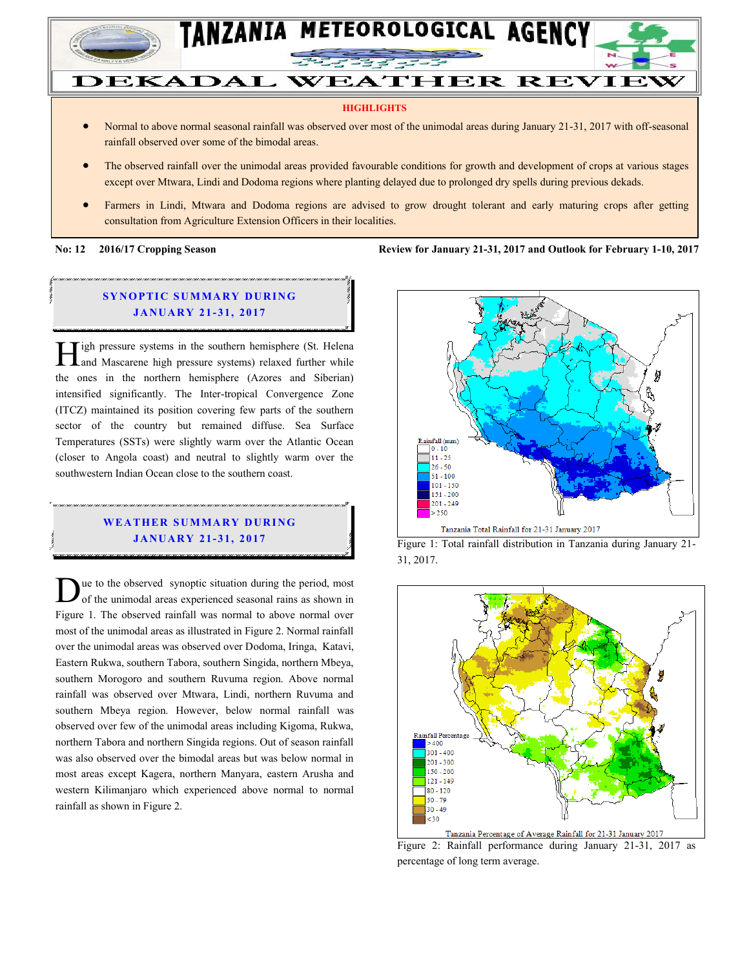

#### **HIGHLIGHTS**

- Normal to above normal seasonal rainfall was observed over most of the unimodal areas during January 21-31, 2017 with off-seasonal rainfall observed over some of the bimodal areas.
- The observed rainfall over the unimodal areas provided favourable conditions for growth and development of crops at various stages except over Mtwara, Lindi and Dodoma regions where planting delayed due to prolonged dry spells during previous dekads.
- Farmers in Lindi, Mtwara and Dodoma regions are advised to grow drought tolerant and early maturing crops after getting consultation from Agriculture Extension Officers in their localities.

**No: 12 2016/17 Cropping Season Review for January 21-31, 2017 and Outlook for February 1-10, 2017**

#### **SYNOPTIC SUMMARY DURING JANUARY 21-31, 2017**

 $\mathbf{T}$ igh pressure systems in the southern hemisphere (St. Helena **1.** Tigh pressure systems in the southern hemisphere (St. Helena) and Mascarene high pressure systems) relaxed further while the ones in the northern hemisphere (Azores and Siberian) intensified significantly. The Inter-tropical Convergence Zone (ITCZ) maintained its position covering few parts of the southern sector of the country but remained diffuse. Sea Surface Temperatures (SSTs) were slightly warm over the Atlantic Ocean (closer to Angola coast) and neutral to slightly warm over the southwestern Indian Ocean close to the southern coast.

### **WEATHER SUMMARY DURING JA NU AR Y 21- 31, 2017**

ue to the observed synoptic situation during the period, most of the unimodal areas experienced seasonal rains as shown in Due to the observed synoptic situation during the period, most of the unimodal areas experienced seasonal rains as shown in Figure 1. The observed rainfall was normal to above normal over most of the unimodal areas as illustrated in Figure 2. Normal rainfall over the unimodal areas was observed over Dodoma, Iringa, Katavi, Eastern Rukwa, southern Tabora, southern Singida, northern Mbeya, southern Morogoro and southern Ruvuma region. Above normal rainfall was observed over Mtwara, Lindi, northern Ruvuma and southern Mbeya region. However, below normal rainfall was observed over few of the unimodal areas including Kigoma, Rukwa, northern Tabora and northern Singida regions. Out of season rainfall was also observed over the bimodal areas but was below normal in most areas except Kagera, northern Manyara, eastern Arusha and western Kilimanjaro which experienced above normal to normal rainfall as shown in Figure 2.



Figure 1: Total rainfall distribution in Tanzania during January 21- 31, 2017.



Figure 2: Rainfall performance during January 21-31, 2017 as percentage of long term average.